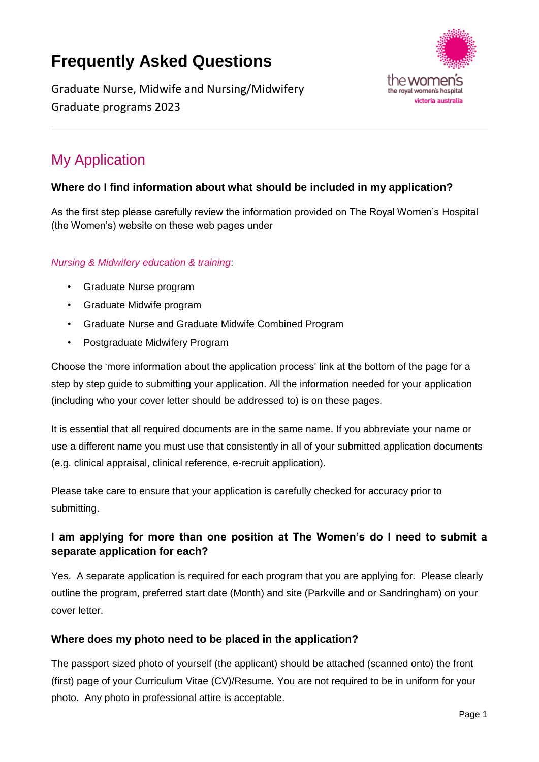# **Frequently Asked Questions**



Graduate Nurse, Midwife and Nursing/Midwifery Graduate programs 2023

# My Application

### **Where do I find information about what should be included in my application?**

As the first step please carefully review the information provided on The Royal Women's Hospital (the Women's) website on these web pages under

### *Nursing & Midwifery education & training*:

- Graduate Nurse program
- Graduate Midwife program
- Graduate Nurse and Graduate Midwife Combined Program
- Postgraduate Midwifery Program

Choose the 'more information about the application process' link at the bottom of the page for a step by step guide to submitting your application. All the information needed for your application (including who your cover letter should be addressed to) is on these pages.

It is essential that all required documents are in the same name. If you abbreviate your name or use a different name you must use that consistently in all of your submitted application documents (e.g. clinical appraisal, clinical reference, e-recruit application).

Please take care to ensure that your application is carefully checked for accuracy prior to submitting.

### **I am applying for more than one position at The Women's do I need to submit a separate application for each?**

Yes. A separate application is required for each program that you are applying for. Please clearly outline the program, preferred start date (Month) and site (Parkville and or Sandringham) on your cover letter.

### **Where does my photo need to be placed in the application?**

The passport sized photo of yourself (the applicant) should be attached (scanned onto) the front (first) page of your Curriculum Vitae (CV)/Resume. You are not required to be in uniform for your photo. Any photo in professional attire is acceptable.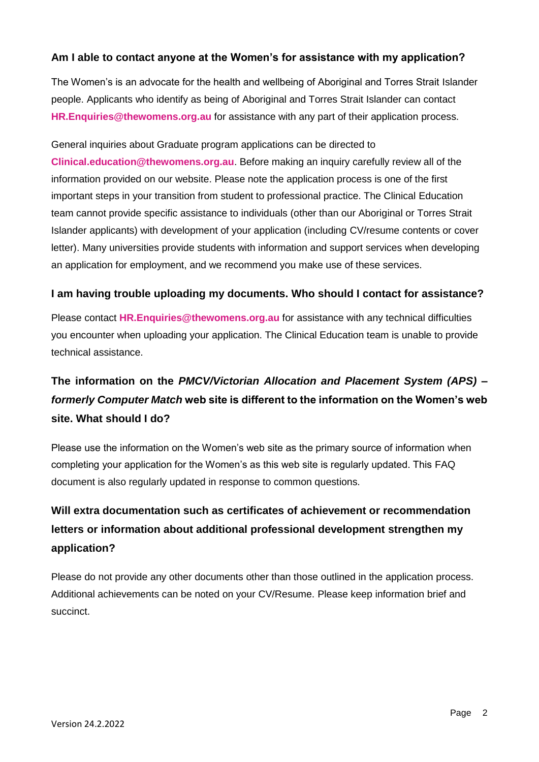### **Am I able to contact anyone at the Women's for assistance with my application?**

The Women's is an advocate for the health and wellbeing of Aboriginal and Torres Strait Islander people. Applicants who identify as being of Aboriginal and Torres Strait Islander can contact **HR.Enquiries@thewomens.org.au** for assistance with any part of their application process.

### General inquiries about Graduate program applications can be directed to **Clinical.education@thewomens.org.au**. Before making an inquiry carefully review all of the information provided on our website. Please note the application process is one of the first important steps in your transition from student to professional practice. The Clinical Education team cannot provide specific assistance to individuals (other than our Aboriginal or Torres Strait Islander applicants) with development of your application (including CV/resume contents or cover letter). Many universities provide students with information and support services when developing an application for employment, and we recommend you make use of these services.

### **I am having trouble uploading my documents. Who should I contact for assistance?**

Please contact **HR.Enquiries@thewomens.org.au** for assistance with any technical difficulties you encounter when uploading your application. The Clinical Education team is unable to provide technical assistance.

## **The information on the** *PMCV/Victorian Allocation and Placement System (APS) – formerly Computer Match* **web site is different to the information on the Women's web site. What should I do?**

Please use the information on the Women's web site as the primary source of information when completing your application for the Women's as this web site is regularly updated. This FAQ document is also regularly updated in response to common questions.

## **Will extra documentation such as certificates of achievement or recommendation letters or information about additional professional development strengthen my application?**

Please do not provide any other documents other than those outlined in the application process. Additional achievements can be noted on your CV/Resume. Please keep information brief and succinct.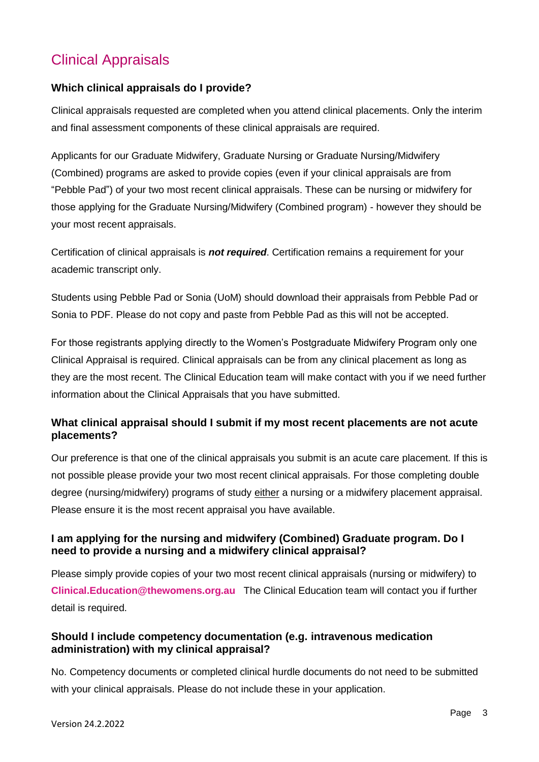# Clinical Appraisals

### **Which clinical appraisals do I provide?**

Clinical appraisals requested are completed when you attend clinical placements. Only the interim and final assessment components of these clinical appraisals are required.

Applicants for our Graduate Midwifery, Graduate Nursing or Graduate Nursing/Midwifery (Combined) programs are asked to provide copies (even if your clinical appraisals are from "Pebble Pad") of your two most recent clinical appraisals. These can be nursing or midwifery for those applying for the Graduate Nursing/Midwifery (Combined program) - however they should be your most recent appraisals.

Certification of clinical appraisals is *not required*. Certification remains a requirement for your academic transcript only.

Students using Pebble Pad or Sonia (UoM) should download their appraisals from Pebble Pad or Sonia to PDF. Please do not copy and paste from Pebble Pad as this will not be accepted.

For those registrants applying directly to the Women's Postgraduate Midwifery Program only one Clinical Appraisal is required. Clinical appraisals can be from any clinical placement as long as they are the most recent. The Clinical Education team will make contact with you if we need further information about the Clinical Appraisals that you have submitted.

### **What clinical appraisal should I submit if my most recent placements are not acute placements?**

Our preference is that one of the clinical appraisals you submit is an acute care placement. If this is not possible please provide your two most recent clinical appraisals. For those completing double degree (nursing/midwifery) programs of study either a nursing or a midwifery placement appraisal. Please ensure it is the most recent appraisal you have available.

### **I am applying for the nursing and midwifery (Combined) Graduate program. Do I need to provide a nursing and a midwifery clinical appraisal?**

Please simply provide copies of your two most recent clinical appraisals (nursing or midwifery) to **Clinical.Education@thewomens.org.au** The Clinical Education team will contact you if further detail is required.

### **Should I include competency documentation (e.g. intravenous medication administration) with my clinical appraisal?**

No. Competency documents or completed clinical hurdle documents do not need to be submitted with your clinical appraisals. Please do not include these in your application.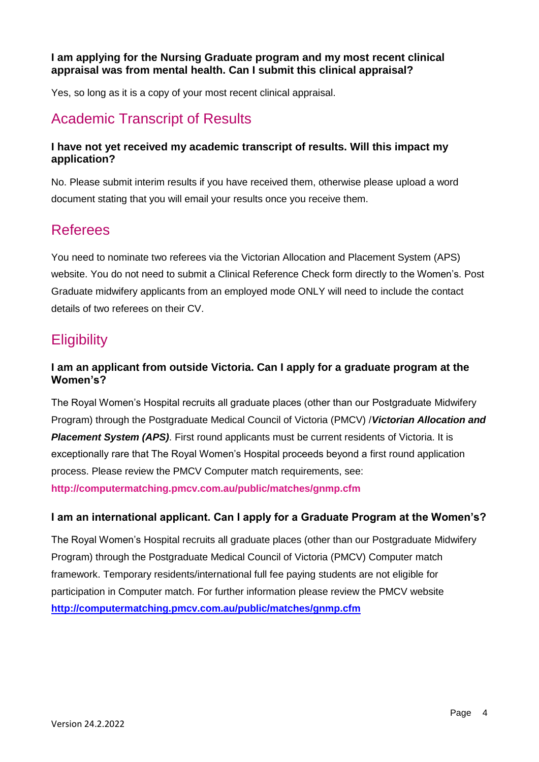### **I am applying for the Nursing Graduate program and my most recent clinical appraisal was from mental health. Can I submit this clinical appraisal?**

Yes, so long as it is a copy of your most recent clinical appraisal.

# Academic Transcript of Results

### **I have not yet received my academic transcript of results. Will this impact my application?**

No. Please submit interim results if you have received them, otherwise please upload a word document stating that you will email your results once you receive them.

### **Referees**

You need to nominate two referees via the Victorian Allocation and Placement System (APS) website. You do not need to submit a Clinical Reference Check form directly to the Women's. Post Graduate midwifery applicants from an employed mode ONLY will need to include the contact details of two referees on their CV.

## **Eligibility**

### **I am an applicant from outside Victoria. Can I apply for a graduate program at the Women's?**

The Royal Women's Hospital recruits all graduate places (other than our Postgraduate Midwifery Program) through the Postgraduate Medical Council of Victoria (PMCV) /*Victorian Allocation and*  **Placement System (APS)**. First round applicants must be current residents of Victoria. It is exceptionally rare that The Royal Women's Hospital proceeds beyond a first round application process. Please review the PMCV Computer match requirements, see: **http://computermatching.pmcv.com.au/public/matches/gnmp.cfm**

### **I am an international applicant. Can I apply for a Graduate Program at the Women's?**

The Royal Women's Hospital recruits all graduate places (other than our Postgraduate Midwifery Program) through the Postgraduate Medical Council of Victoria (PMCV) Computer match framework. Temporary residents/international full fee paying students are not eligible for participation in Computer match. For further information please review the PMCV website **<http://computermatching.pmcv.com.au/public/matches/gnmp.cfm>**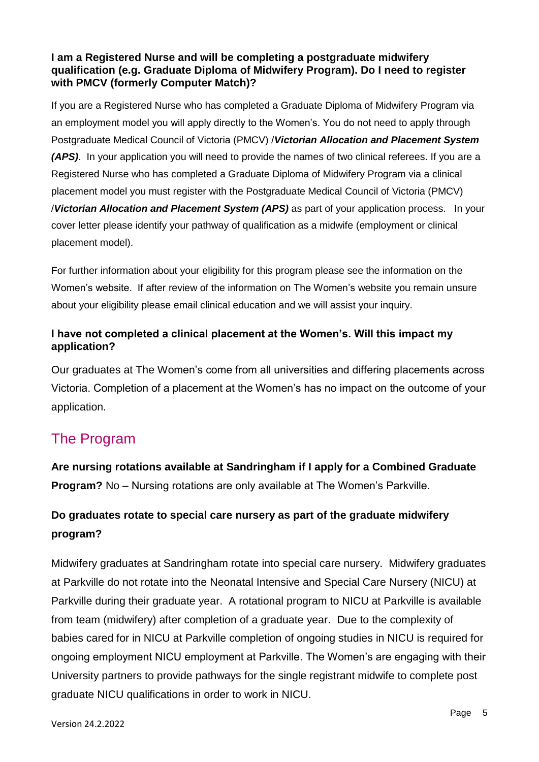### **I am a Registered Nurse and will be completing a postgraduate midwifery qualification (e.g. Graduate Diploma of Midwifery Program). Do I need to register with PMCV (formerly Computer Match)?**

If you are a Registered Nurse who has completed a Graduate Diploma of Midwifery Program via an employment model you will apply directly to the Women's. You do not need to apply through Postgraduate Medical Council of Victoria (PMCV) /*Victorian Allocation and Placement System (APS)*. In your application you will need to provide the names of two clinical referees. If you are a Registered Nurse who has completed a Graduate Diploma of Midwifery Program via a clinical placement model you must register with the Postgraduate Medical Council of Victoria (PMCV) /*Victorian Allocation and Placement System (APS)* as part of your application process. In your cover letter please identify your pathway of qualification as a midwife (employment or clinical placement model).

For further information about your eligibility for this program please see the information on the Women's website. If after review of the information on The Women's website you remain unsure about your eligibility please email clinical education and we will assist your inquiry.

### **I have not completed a clinical placement at the Women's. Will this impact my application?**

Our graduates at The Women's come from all universities and differing placements across Victoria. Completion of a placement at the Women's has no impact on the outcome of your application.

# The Program

**Are nursing rotations available at Sandringham if I apply for a Combined Graduate Program?** No – Nursing rotations are only available at The Women's Parkville.

### **Do graduates rotate to special care nursery as part of the graduate midwifery program?**

Midwifery graduates at Sandringham rotate into special care nursery. Midwifery graduates at Parkville do not rotate into the Neonatal Intensive and Special Care Nursery (NICU) at Parkville during their graduate year. A rotational program to NICU at Parkville is available from team (midwifery) after completion of a graduate year. Due to the complexity of babies cared for in NICU at Parkville completion of ongoing studies in NICU is required for ongoing employment NICU employment at Parkville. The Women's are engaging with their University partners to provide pathways for the single registrant midwife to complete post graduate NICU qualifications in order to work in NICU.